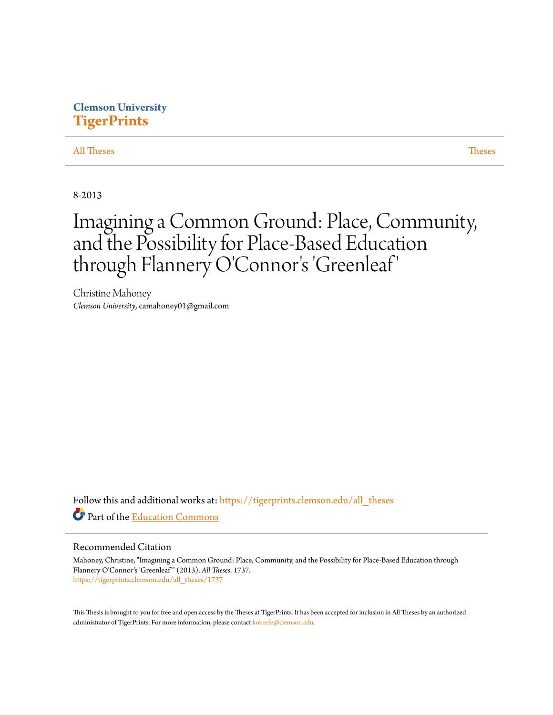## **Clemson University [TigerPrints](https://tigerprints.clemson.edu?utm_source=tigerprints.clemson.edu%2Fall_theses%2F1737&utm_medium=PDF&utm_campaign=PDFCoverPages)**

#### [All Theses](https://tigerprints.clemson.edu/all_theses?utm_source=tigerprints.clemson.edu%2Fall_theses%2F1737&utm_medium=PDF&utm_campaign=PDFCoverPages) **[Theses](https://tigerprints.clemson.edu/theses?utm_source=tigerprints.clemson.edu%2Fall_theses%2F1737&utm_medium=PDF&utm_campaign=PDFCoverPages)**

8-2013

# Imagining a Common Ground: Place, Community, and the Possibility for Place-Based Education through Flannery O'Connor 's 'Greenleaf '

Christine Mahoney *Clemson University*, camahoney01@gmail.com

Follow this and additional works at: [https://tigerprints.clemson.edu/all\\_theses](https://tigerprints.clemson.edu/all_theses?utm_source=tigerprints.clemson.edu%2Fall_theses%2F1737&utm_medium=PDF&utm_campaign=PDFCoverPages) Part of the [Education Commons](http://network.bepress.com/hgg/discipline/784?utm_source=tigerprints.clemson.edu%2Fall_theses%2F1737&utm_medium=PDF&utm_campaign=PDFCoverPages)

#### Recommended Citation

Mahoney, Christine, "Imagining a Common Ground: Place, Community, and the Possibility for Place-Based Education through Flannery O'Connor's 'Greenleaf'" (2013). *All Theses*. 1737. [https://tigerprints.clemson.edu/all\\_theses/1737](https://tigerprints.clemson.edu/all_theses/1737?utm_source=tigerprints.clemson.edu%2Fall_theses%2F1737&utm_medium=PDF&utm_campaign=PDFCoverPages)

This Thesis is brought to you for free and open access by the Theses at TigerPrints. It has been accepted for inclusion in All Theses by an authorized administrator of TigerPrints. For more information, please contact [kokeefe@clemson.edu](mailto:kokeefe@clemson.edu).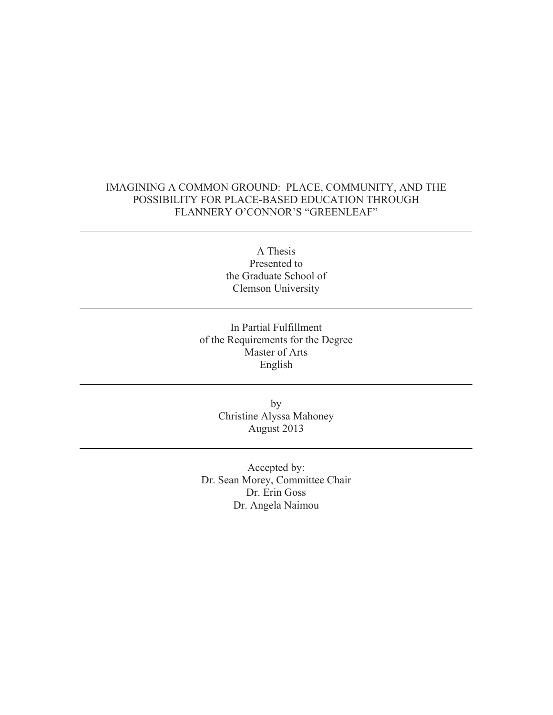## IMAGINING A COMMON GROUND: PLACE, COMMUNITY, AND THE POSSIBILITY FOR PLACE-BASED EDUCATION THROUGH FLANNERY O'CONNOR'S "GREENLEAF"

A Thesis Presented to the Graduate School of Clemson University

In Partial Fulfillment of the Requirements for the Degree Master of Arts English

> by Christine Alyssa Mahoney August 2013

Accepted by: Dr. Sean Morey, Committee Chair Dr. Erin Goss Dr. Angela Naimou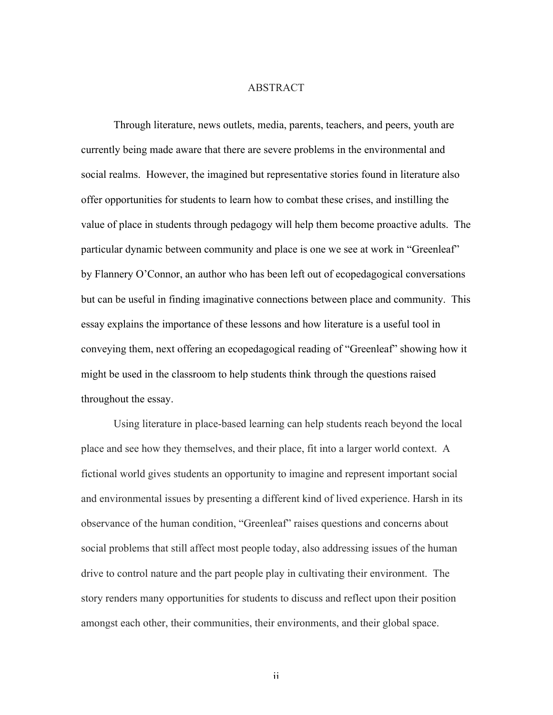#### ABSTRACT

Through literature, news outlets, media, parents, teachers, and peers, youth are currently being made aware that there are severe problems in the environmental and social realms. However, the imagined but representative stories found in literature also offer opportunities for students to learn how to combat these crises, and instilling the value of place in students through pedagogy will help them become proactive adults. The particular dynamic between community and place is one we see at work in "Greenleaf" by Flannery O'Connor, an author who has been left out of ecopedagogical conversations but can be useful in finding imaginative connections between place and community. This essay explains the importance of these lessons and how literature is a useful tool in conveying them, next offering an ecopedagogical reading of "Greenleaf" showing how it might be used in the classroom to help students think through the questions raised throughout the essay.

Using literature in place-based learning can help students reach beyond the local place and see how they themselves, and their place, fit into a larger world context. A fictional world gives students an opportunity to imagine and represent important social and environmental issues by presenting a different kind of lived experience. Harsh in its observance of the human condition, "Greenleaf" raises questions and concerns about social problems that still affect most people today, also addressing issues of the human drive to control nature and the part people play in cultivating their environment. The story renders many opportunities for students to discuss and reflect upon their position amongst each other, their communities, their environments, and their global space.

ii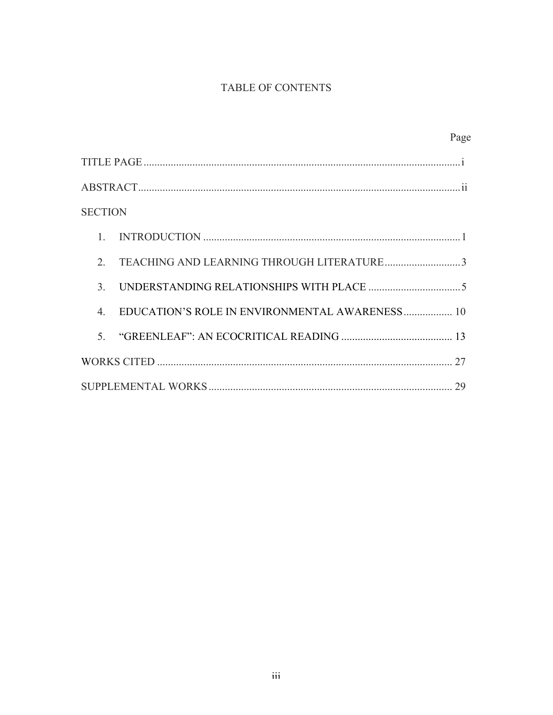# TABLE OF CONTENTS

|                |                                                | Page |
|----------------|------------------------------------------------|------|
|                |                                                |      |
|                |                                                |      |
| <b>SECTION</b> |                                                |      |
| $1_{-}$        |                                                |      |
| $2^{\circ}$    |                                                |      |
| $\mathcal{E}$  |                                                |      |
| $\overline{4}$ | EDUCATION'S ROLE IN ENVIRONMENTAL AWARENESS 10 |      |
| $\mathcal{F}$  |                                                |      |
|                |                                                |      |
| 29             |                                                |      |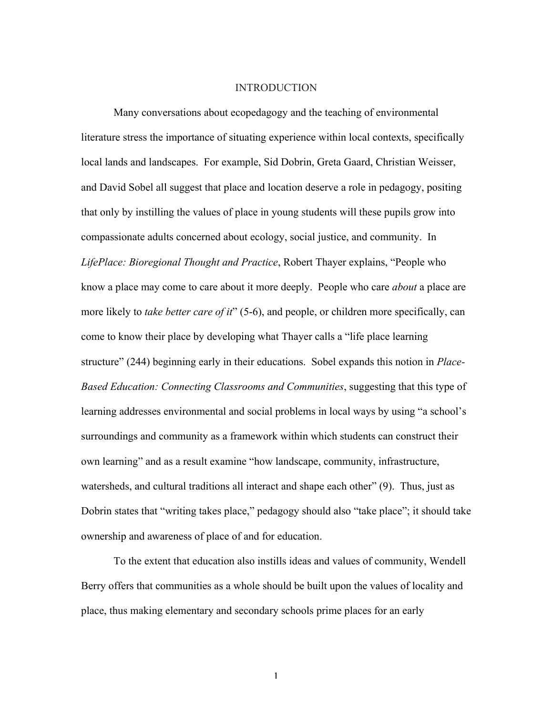#### INTRODUCTION

Many conversations about ecopedagogy and the teaching of environmental literature stress the importance of situating experience within local contexts, specifically local lands and landscapes. For example, Sid Dobrin, Greta Gaard, Christian Weisser, and David Sobel all suggest that place and location deserve a role in pedagogy, positing that only by instilling the values of place in young students will these pupils grow into compassionate adults concerned about ecology, social justice, and community. In *LifePlace: Bioregional Thought and Practice*, Robert Thayer explains, "People who know a place may come to care about it more deeply. People who care *about* a place are more likely to *take better care of it*" (5-6), and people, or children more specifically, can come to know their place by developing what Thayer calls a "life place learning structure" (244) beginning early in their educations. Sobel expands this notion in *Place-Based Education: Connecting Classrooms and Communities*, suggesting that this type of learning addresses environmental and social problems in local ways by using "a school's surroundings and community as a framework within which students can construct their own learning" and as a result examine "how landscape, community, infrastructure, watersheds, and cultural traditions all interact and shape each other" (9). Thus, just as Dobrin states that "writing takes place," pedagogy should also "take place"; it should take ownership and awareness of place of and for education.

To the extent that education also instills ideas and values of community, Wendell Berry offers that communities as a whole should be built upon the values of locality and place, thus making elementary and secondary schools prime places for an early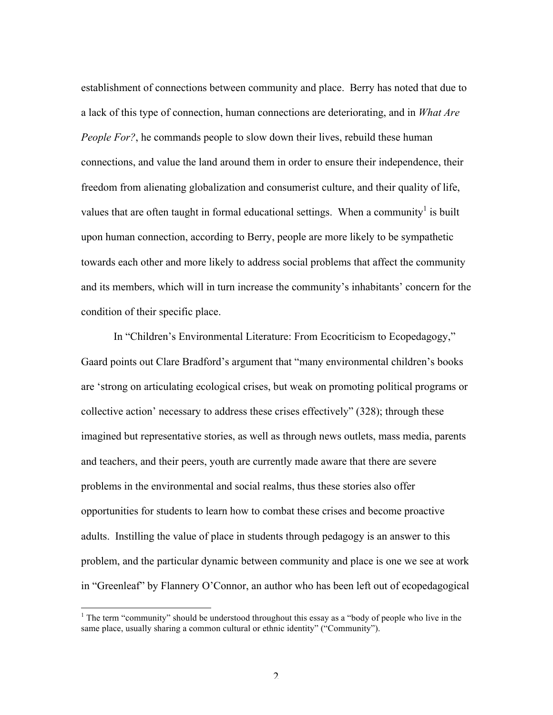establishment of connections between community and place. Berry has noted that due to a lack of this type of connection, human connections are deteriorating, and in *What Are People For?*, he commands people to slow down their lives, rebuild these human connections, and value the land around them in order to ensure their independence, their freedom from alienating globalization and consumerist culture, and their quality of life, values that are often taught in formal educational settings. When a community<sup>1</sup> is built upon human connection, according to Berry, people are more likely to be sympathetic towards each other and more likely to address social problems that affect the community and its members, which will in turn increase the community's inhabitants' concern for the condition of their specific place.

In "Children's Environmental Literature: From Ecocriticism to Ecopedagogy," Gaard points out Clare Bradford's argument that "many environmental children's books are 'strong on articulating ecological crises, but weak on promoting political programs or collective action' necessary to address these crises effectively" (328); through these imagined but representative stories, as well as through news outlets, mass media, parents and teachers, and their peers, youth are currently made aware that there are severe problems in the environmental and social realms, thus these stories also offer opportunities for students to learn how to combat these crises and become proactive adults. Instilling the value of place in students through pedagogy is an answer to this problem, and the particular dynamic between community and place is one we see at work in "Greenleaf" by Flannery O'Connor, an author who has been left out of ecopedagogical

<sup>&</sup>lt;sup>1</sup> The term "community" should be understood throughout this essay as a "body of people who live in the same place, usually sharing a common cultural or ethnic identity" ("Community").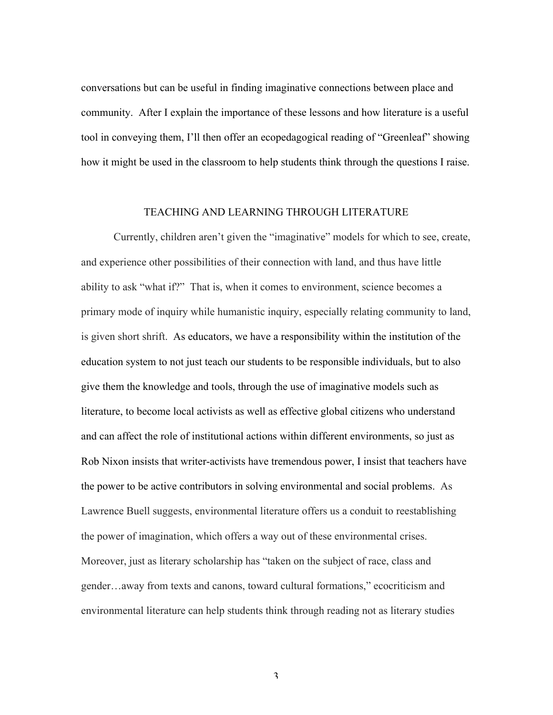conversations but can be useful in finding imaginative connections between place and community. After I explain the importance of these lessons and how literature is a useful tool in conveying them, I'll then offer an ecopedagogical reading of "Greenleaf" showing how it might be used in the classroom to help students think through the questions I raise.

#### TEACHING AND LEARNING THROUGH LITERATURE

Currently, children aren't given the "imaginative" models for which to see, create, and experience other possibilities of their connection with land, and thus have little ability to ask "what if?" That is, when it comes to environment, science becomes a primary mode of inquiry while humanistic inquiry, especially relating community to land, is given short shrift. As educators, we have a responsibility within the institution of the education system to not just teach our students to be responsible individuals, but to also give them the knowledge and tools, through the use of imaginative models such as literature, to become local activists as well as effective global citizens who understand and can affect the role of institutional actions within different environments, so just as Rob Nixon insists that writer-activists have tremendous power, I insist that teachers have the power to be active contributors in solving environmental and social problems. As Lawrence Buell suggests, environmental literature offers us a conduit to reestablishing the power of imagination, which offers a way out of these environmental crises. Moreover, just as literary scholarship has "taken on the subject of race, class and gender…away from texts and canons, toward cultural formations," ecocriticism and environmental literature can help students think through reading not as literary studies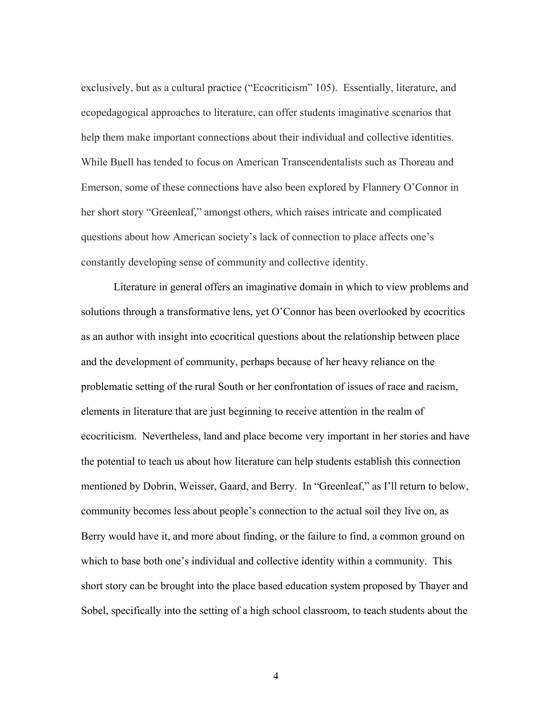exclusively, but as a cultural practice ("Ecocriticism" 105). Essentially, literature, and ecopedagogical approaches to literature, can offer students imaginative scenarios that help them make important connections about their individual and collective identities. While Buell has tended to focus on American Transcendentalists such as Thoreau and Emerson, some of these connections have also been explored by Flannery O'Connor in her short story "Greenleaf," amongst others, which raises intricate and complicated questions about how American society's lack of connection to place affects one's constantly developing sense of community and collective identity.

Literature in general offers an imaginative domain in which to view problems and solutions through a transformative lens, yet O'Connor has been overlooked by ecocritics as an author with insight into ecocritical questions about the relationship between place and the development of community, perhaps because of her heavy reliance on the problematic setting of the rural South or her confrontation of issues of race and racism, elements in literature that are just beginning to receive attention in the realm of ecocriticism. Nevertheless, land and place become very important in her stories and have the potential to teach us about how literature can help students establish this connection mentioned by Dobrin, Weisser, Gaard, and Berry. In "Greenleaf," as I'll return to below, community becomes less about people's connection to the actual soil they live on, as Berry would have it, and more about finding, or the failure to find, a common ground on which to base both one's individual and collective identity within a community. This short story can be brought into the place based education system proposed by Thayer and Sobel, specifically into the setting of a high school classroom, to teach students about the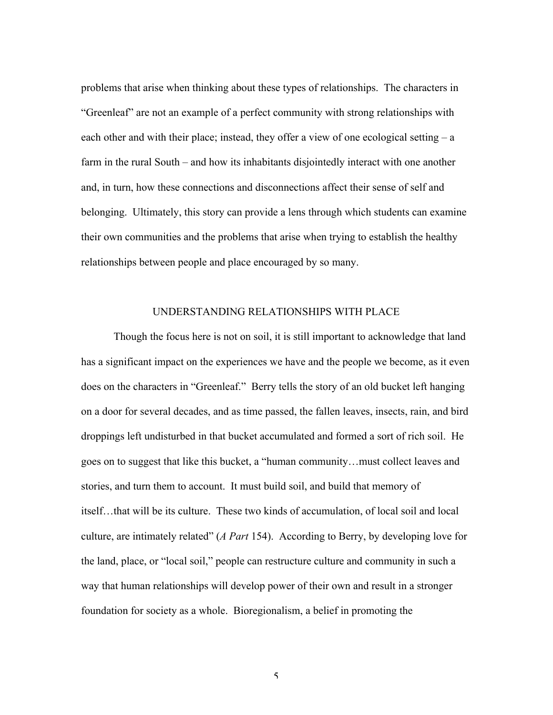problems that arise when thinking about these types of relationships. The characters in "Greenleaf" are not an example of a perfect community with strong relationships with each other and with their place; instead, they offer a view of one ecological setting – a farm in the rural South – and how its inhabitants disjointedly interact with one another and, in turn, how these connections and disconnections affect their sense of self and belonging. Ultimately, this story can provide a lens through which students can examine their own communities and the problems that arise when trying to establish the healthy relationships between people and place encouraged by so many.

#### UNDERSTANDING RELATIONSHIPS WITH PLACE

Though the focus here is not on soil, it is still important to acknowledge that land has a significant impact on the experiences we have and the people we become, as it even does on the characters in "Greenleaf." Berry tells the story of an old bucket left hanging on a door for several decades, and as time passed, the fallen leaves, insects, rain, and bird droppings left undisturbed in that bucket accumulated and formed a sort of rich soil. He goes on to suggest that like this bucket, a "human community…must collect leaves and stories, and turn them to account. It must build soil, and build that memory of itself…that will be its culture. These two kinds of accumulation, of local soil and local culture, are intimately related" (*A Part* 154). According to Berry, by developing love for the land, place, or "local soil," people can restructure culture and community in such a way that human relationships will develop power of their own and result in a stronger foundation for society as a whole. Bioregionalism, a belief in promoting the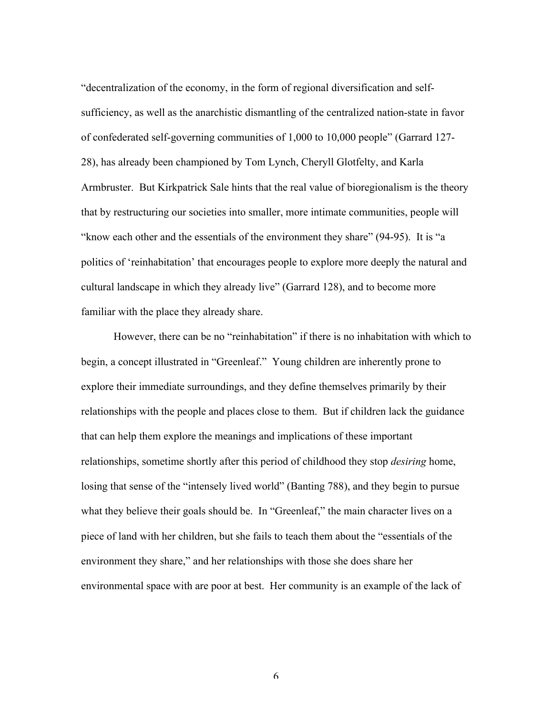"decentralization of the economy, in the form of regional diversification and selfsufficiency, as well as the anarchistic dismantling of the centralized nation-state in favor of confederated self-governing communities of 1,000 to 10,000 people" (Garrard 127- 28), has already been championed by Tom Lynch, Cheryll Glotfelty, and Karla Armbruster. But Kirkpatrick Sale hints that the real value of bioregionalism is the theory that by restructuring our societies into smaller, more intimate communities, people will "know each other and the essentials of the environment they share" (94-95). It is "a politics of 'reinhabitation' that encourages people to explore more deeply the natural and cultural landscape in which they already live" (Garrard 128), and to become more familiar with the place they already share.

However, there can be no "reinhabitation" if there is no inhabitation with which to begin, a concept illustrated in "Greenleaf." Young children are inherently prone to explore their immediate surroundings, and they define themselves primarily by their relationships with the people and places close to them. But if children lack the guidance that can help them explore the meanings and implications of these important relationships, sometime shortly after this period of childhood they stop *desiring* home, losing that sense of the "intensely lived world" (Banting 788), and they begin to pursue what they believe their goals should be. In "Greenleaf," the main character lives on a piece of land with her children, but she fails to teach them about the "essentials of the environment they share," and her relationships with those she does share her environmental space with are poor at best. Her community is an example of the lack of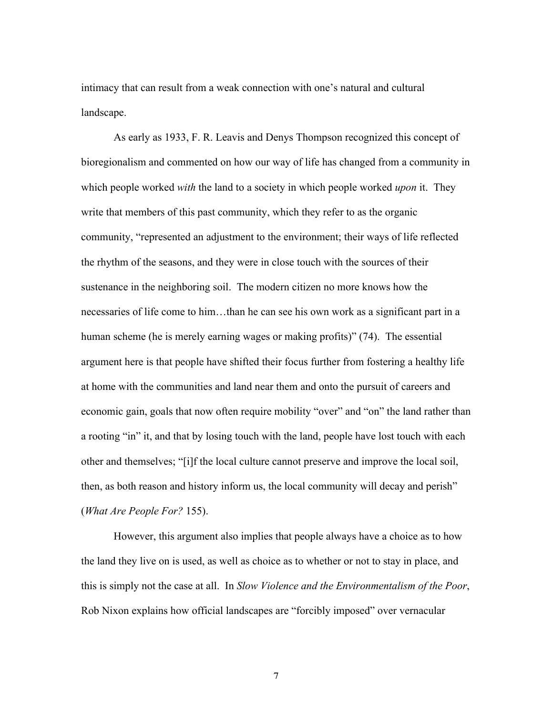intimacy that can result from a weak connection with one's natural and cultural landscape.

As early as 1933, F. R. Leavis and Denys Thompson recognized this concept of bioregionalism and commented on how our way of life has changed from a community in which people worked *with* the land to a society in which people worked *upon* it. They write that members of this past community, which they refer to as the organic community, "represented an adjustment to the environment; their ways of life reflected the rhythm of the seasons, and they were in close touch with the sources of their sustenance in the neighboring soil. The modern citizen no more knows how the necessaries of life come to him…than he can see his own work as a significant part in a human scheme (he is merely earning wages or making profits)" (74). The essential argument here is that people have shifted their focus further from fostering a healthy life at home with the communities and land near them and onto the pursuit of careers and economic gain, goals that now often require mobility "over" and "on" the land rather than a rooting "in" it, and that by losing touch with the land, people have lost touch with each other and themselves; "[i]f the local culture cannot preserve and improve the local soil, then, as both reason and history inform us, the local community will decay and perish" (*What Are People For?* 155).

However, this argument also implies that people always have a choice as to how the land they live on is used, as well as choice as to whether or not to stay in place, and this is simply not the case at all. In *Slow Violence and the Environmentalism of the Poor*, Rob Nixon explains how official landscapes are "forcibly imposed" over vernacular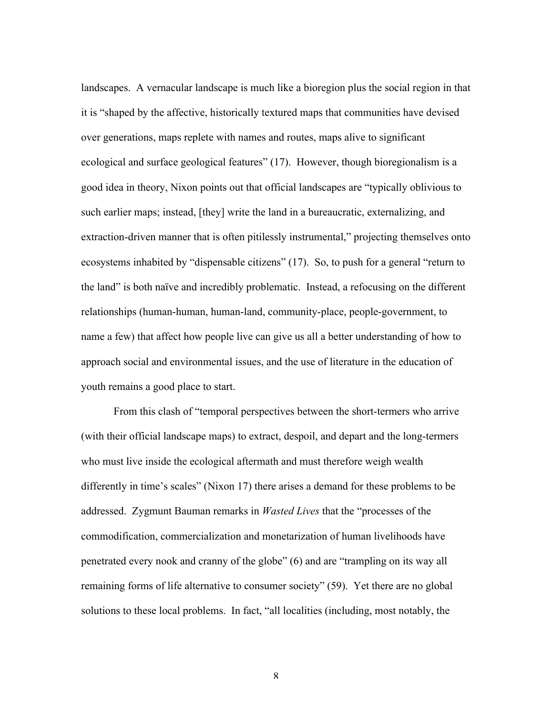landscapes. A vernacular landscape is much like a bioregion plus the social region in that it is "shaped by the affective, historically textured maps that communities have devised over generations, maps replete with names and routes, maps alive to significant ecological and surface geological features" (17). However, though bioregionalism is a good idea in theory, Nixon points out that official landscapes are "typically oblivious to such earlier maps; instead, [they] write the land in a bureaucratic, externalizing, and extraction-driven manner that is often pitilessly instrumental," projecting themselves onto ecosystems inhabited by "dispensable citizens" (17). So, to push for a general "return to the land" is both naïve and incredibly problematic. Instead, a refocusing on the different relationships (human-human, human-land, community-place, people-government, to name a few) that affect how people live can give us all a better understanding of how to approach social and environmental issues, and the use of literature in the education of youth remains a good place to start.

From this clash of "temporal perspectives between the short-termers who arrive (with their official landscape maps) to extract, despoil, and depart and the long-termers who must live inside the ecological aftermath and must therefore weigh wealth differently in time's scales" (Nixon 17) there arises a demand for these problems to be addressed. Zygmunt Bauman remarks in *Wasted Lives* that the "processes of the commodification, commercialization and monetarization of human livelihoods have penetrated every nook and cranny of the globe" (6) and are "trampling on its way all remaining forms of life alternative to consumer society" (59). Yet there are no global solutions to these local problems. In fact, "all localities (including, most notably, the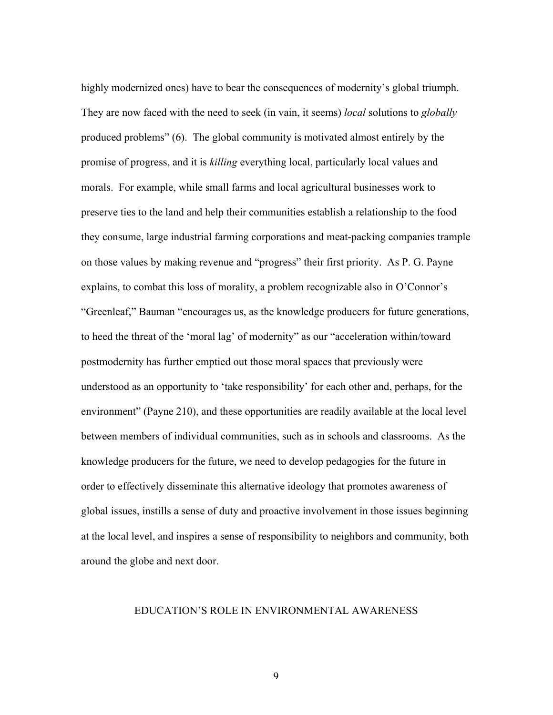highly modernized ones) have to bear the consequences of modernity's global triumph. They are now faced with the need to seek (in vain, it seems) *local* solutions to *globally* produced problems" (6). The global community is motivated almost entirely by the promise of progress, and it is *killing* everything local, particularly local values and morals. For example, while small farms and local agricultural businesses work to preserve ties to the land and help their communities establish a relationship to the food they consume, large industrial farming corporations and meat-packing companies trample on those values by making revenue and "progress" their first priority. As P. G. Payne explains, to combat this loss of morality, a problem recognizable also in O'Connor's "Greenleaf," Bauman "encourages us, as the knowledge producers for future generations, to heed the threat of the 'moral lag' of modernity" as our "acceleration within/toward postmodernity has further emptied out those moral spaces that previously were understood as an opportunity to 'take responsibility' for each other and, perhaps, for the environment" (Payne 210), and these opportunities are readily available at the local level between members of individual communities, such as in schools and classrooms. As the knowledge producers for the future, we need to develop pedagogies for the future in order to effectively disseminate this alternative ideology that promotes awareness of global issues, instills a sense of duty and proactive involvement in those issues beginning at the local level, and inspires a sense of responsibility to neighbors and community, both around the globe and next door.

### EDUCATION'S ROLE IN ENVIRONMENTAL AWARENESS

 $\mathsf{Q}$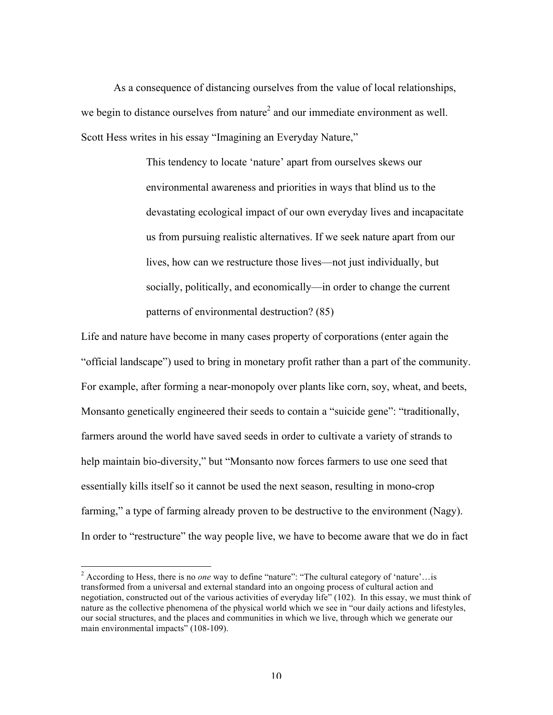As a consequence of distancing ourselves from the value of local relationships, we begin to distance ourselves from nature<sup>2</sup> and our immediate environment as well. Scott Hess writes in his essay "Imagining an Everyday Nature,"

> This tendency to locate 'nature' apart from ourselves skews our environmental awareness and priorities in ways that blind us to the devastating ecological impact of our own everyday lives and incapacitate us from pursuing realistic alternatives. If we seek nature apart from our lives, how can we restructure those lives—not just individually, but socially, politically, and economically—in order to change the current patterns of environmental destruction? (85)

Life and nature have become in many cases property of corporations (enter again the "official landscape") used to bring in monetary profit rather than a part of the community. For example, after forming a near-monopoly over plants like corn, soy, wheat, and beets, Monsanto genetically engineered their seeds to contain a "suicide gene": "traditionally, farmers around the world have saved seeds in order to cultivate a variety of strands to help maintain bio-diversity," but "Monsanto now forces farmers to use one seed that essentially kills itself so it cannot be used the next season, resulting in mono-crop farming," a type of farming already proven to be destructive to the environment (Nagy). In order to "restructure" the way people live, we have to become aware that we do in fact

 <sup>2</sup> According to Hess, there is no *one* way to define "nature": "The cultural category of 'nature'…is transformed from a universal and external standard into an ongoing process of cultural action and negotiation, constructed out of the various activities of everyday life" (102). In this essay, we must think of nature as the collective phenomena of the physical world which we see in "our daily actions and lifestyles, our social structures, and the places and communities in which we live, through which we generate our main environmental impacts" (108-109).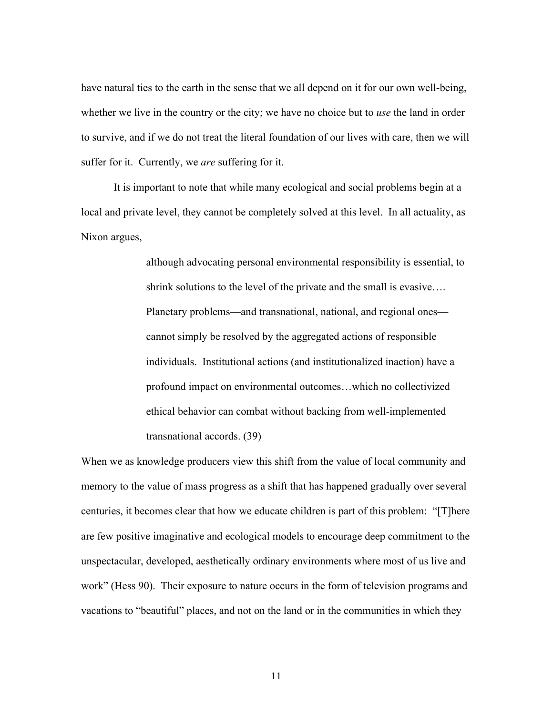have natural ties to the earth in the sense that we all depend on it for our own well-being, whether we live in the country or the city; we have no choice but to *use* the land in order to survive, and if we do not treat the literal foundation of our lives with care, then we will suffer for it. Currently, we *are* suffering for it.

It is important to note that while many ecological and social problems begin at a local and private level, they cannot be completely solved at this level. In all actuality, as Nixon argues,

> although advocating personal environmental responsibility is essential, to shrink solutions to the level of the private and the small is evasive…. Planetary problems—and transnational, national, and regional ones cannot simply be resolved by the aggregated actions of responsible individuals. Institutional actions (and institutionalized inaction) have a profound impact on environmental outcomes…which no collectivized ethical behavior can combat without backing from well-implemented transnational accords. (39)

When we as knowledge producers view this shift from the value of local community and memory to the value of mass progress as a shift that has happened gradually over several centuries, it becomes clear that how we educate children is part of this problem: "[T]here are few positive imaginative and ecological models to encourage deep commitment to the unspectacular, developed, aesthetically ordinary environments where most of us live and work" (Hess 90). Their exposure to nature occurs in the form of television programs and vacations to "beautiful" places, and not on the land or in the communities in which they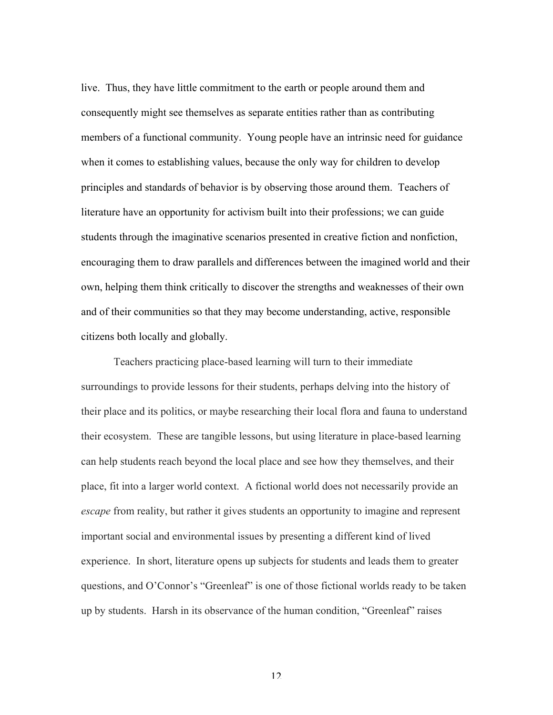live. Thus, they have little commitment to the earth or people around them and consequently might see themselves as separate entities rather than as contributing members of a functional community. Young people have an intrinsic need for guidance when it comes to establishing values, because the only way for children to develop principles and standards of behavior is by observing those around them. Teachers of literature have an opportunity for activism built into their professions; we can guide students through the imaginative scenarios presented in creative fiction and nonfiction, encouraging them to draw parallels and differences between the imagined world and their own, helping them think critically to discover the strengths and weaknesses of their own and of their communities so that they may become understanding, active, responsible citizens both locally and globally.

Teachers practicing place-based learning will turn to their immediate surroundings to provide lessons for their students, perhaps delving into the history of their place and its politics, or maybe researching their local flora and fauna to understand their ecosystem. These are tangible lessons, but using literature in place-based learning can help students reach beyond the local place and see how they themselves, and their place, fit into a larger world context. A fictional world does not necessarily provide an *escape* from reality, but rather it gives students an opportunity to imagine and represent important social and environmental issues by presenting a different kind of lived experience. In short, literature opens up subjects for students and leads them to greater questions, and O'Connor's "Greenleaf" is one of those fictional worlds ready to be taken up by students. Harsh in its observance of the human condition, "Greenleaf" raises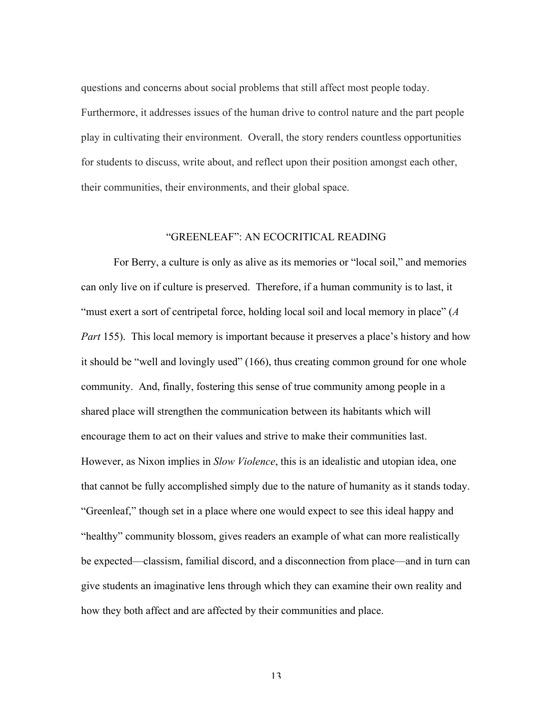questions and concerns about social problems that still affect most people today. Furthermore, it addresses issues of the human drive to control nature and the part people play in cultivating their environment. Overall, the story renders countless opportunities for students to discuss, write about, and reflect upon their position amongst each other, their communities, their environments, and their global space.

#### "GREENLEAF": AN ECOCRITICAL READING

For Berry, a culture is only as alive as its memories or "local soil," and memories can only live on if culture is preserved. Therefore, if a human community is to last, it "must exert a sort of centripetal force, holding local soil and local memory in place" (*A Part* 155). This local memory is important because it preserves a place's history and how it should be "well and lovingly used" (166), thus creating common ground for one whole community. And, finally, fostering this sense of true community among people in a shared place will strengthen the communication between its habitants which will encourage them to act on their values and strive to make their communities last. However, as Nixon implies in *Slow Violence*, this is an idealistic and utopian idea, one that cannot be fully accomplished simply due to the nature of humanity as it stands today. "Greenleaf," though set in a place where one would expect to see this ideal happy and "healthy" community blossom, gives readers an example of what can more realistically be expected—classism, familial discord, and a disconnection from place—and in turn can give students an imaginative lens through which they can examine their own reality and how they both affect and are affected by their communities and place.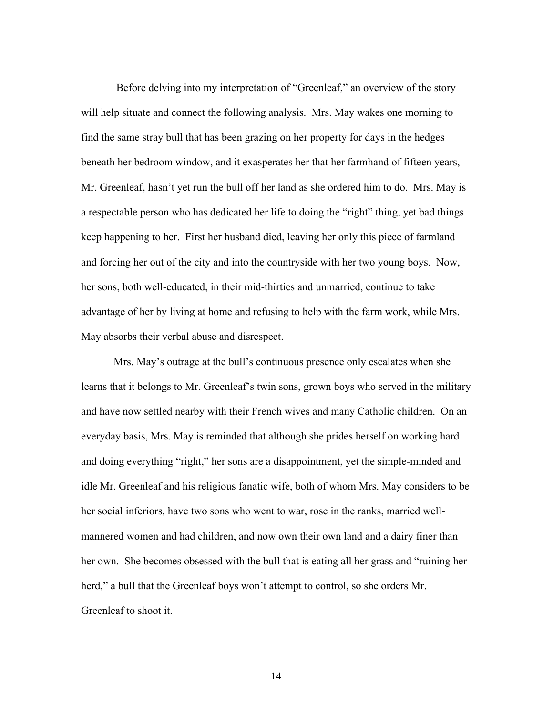Before delving into my interpretation of "Greenleaf," an overview of the story will help situate and connect the following analysis. Mrs. May wakes one morning to find the same stray bull that has been grazing on her property for days in the hedges beneath her bedroom window, and it exasperates her that her farmhand of fifteen years, Mr. Greenleaf, hasn't yet run the bull off her land as she ordered him to do. Mrs. May is a respectable person who has dedicated her life to doing the "right" thing, yet bad things keep happening to her. First her husband died, leaving her only this piece of farmland and forcing her out of the city and into the countryside with her two young boys. Now, her sons, both well-educated, in their mid-thirties and unmarried, continue to take advantage of her by living at home and refusing to help with the farm work, while Mrs. May absorbs their verbal abuse and disrespect.

Mrs. May's outrage at the bull's continuous presence only escalates when she learns that it belongs to Mr. Greenleaf's twin sons, grown boys who served in the military and have now settled nearby with their French wives and many Catholic children. On an everyday basis, Mrs. May is reminded that although she prides herself on working hard and doing everything "right," her sons are a disappointment, yet the simple-minded and idle Mr. Greenleaf and his religious fanatic wife, both of whom Mrs. May considers to be her social inferiors, have two sons who went to war, rose in the ranks, married wellmannered women and had children, and now own their own land and a dairy finer than her own. She becomes obsessed with the bull that is eating all her grass and "ruining her herd," a bull that the Greenleaf boys won't attempt to control, so she orders Mr. Greenleaf to shoot it.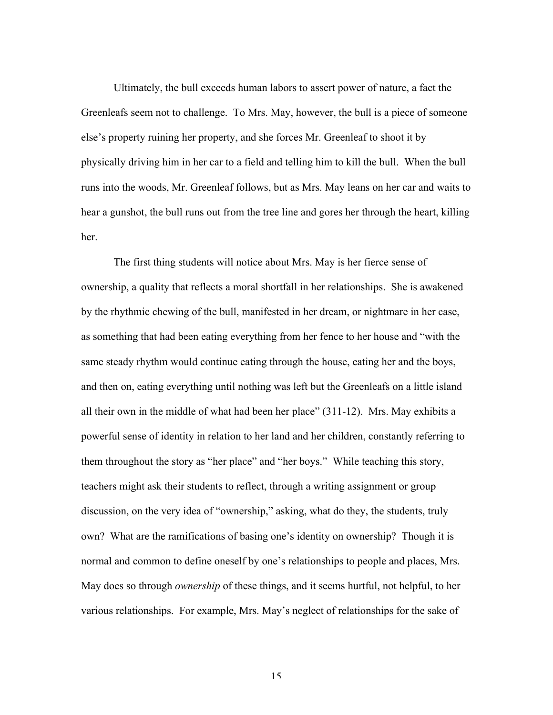Ultimately, the bull exceeds human labors to assert power of nature, a fact the Greenleafs seem not to challenge. To Mrs. May, however, the bull is a piece of someone else's property ruining her property, and she forces Mr. Greenleaf to shoot it by physically driving him in her car to a field and telling him to kill the bull. When the bull runs into the woods, Mr. Greenleaf follows, but as Mrs. May leans on her car and waits to hear a gunshot, the bull runs out from the tree line and gores her through the heart, killing her.

The first thing students will notice about Mrs. May is her fierce sense of ownership, a quality that reflects a moral shortfall in her relationships. She is awakened by the rhythmic chewing of the bull, manifested in her dream, or nightmare in her case, as something that had been eating everything from her fence to her house and "with the same steady rhythm would continue eating through the house, eating her and the boys, and then on, eating everything until nothing was left but the Greenleafs on a little island all their own in the middle of what had been her place" (311-12). Mrs. May exhibits a powerful sense of identity in relation to her land and her children, constantly referring to them throughout the story as "her place" and "her boys." While teaching this story, teachers might ask their students to reflect, through a writing assignment or group discussion, on the very idea of "ownership," asking, what do they, the students, truly own? What are the ramifications of basing one's identity on ownership? Though it is normal and common to define oneself by one's relationships to people and places, Mrs. May does so through *ownership* of these things, and it seems hurtful, not helpful, to her various relationships. For example, Mrs. May's neglect of relationships for the sake of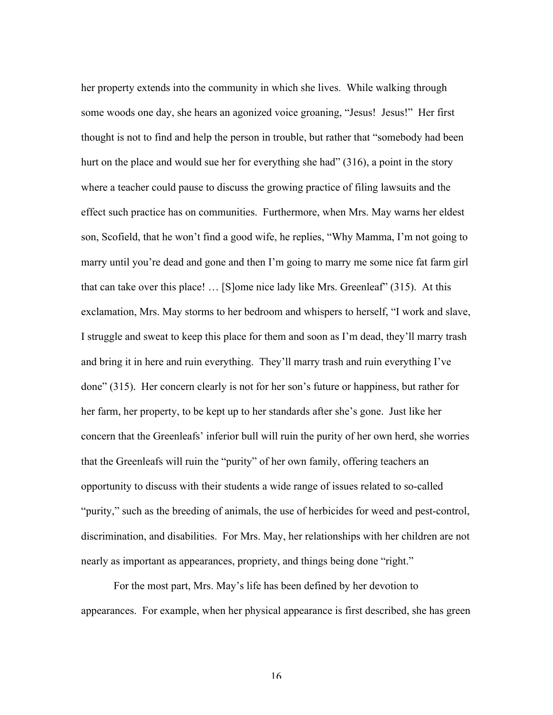her property extends into the community in which she lives. While walking through some woods one day, she hears an agonized voice groaning, "Jesus! Jesus!" Her first thought is not to find and help the person in trouble, but rather that "somebody had been hurt on the place and would sue her for everything she had" (316), a point in the story where a teacher could pause to discuss the growing practice of filing lawsuits and the effect such practice has on communities. Furthermore, when Mrs. May warns her eldest son, Scofield, that he won't find a good wife, he replies, "Why Mamma, I'm not going to marry until you're dead and gone and then I'm going to marry me some nice fat farm girl that can take over this place! … [S]ome nice lady like Mrs. Greenleaf" (315). At this exclamation, Mrs. May storms to her bedroom and whispers to herself, "I work and slave, I struggle and sweat to keep this place for them and soon as I'm dead, they'll marry trash and bring it in here and ruin everything. They'll marry trash and ruin everything I've done" (315). Her concern clearly is not for her son's future or happiness, but rather for her farm, her property, to be kept up to her standards after she's gone. Just like her concern that the Greenleafs' inferior bull will ruin the purity of her own herd, she worries that the Greenleafs will ruin the "purity" of her own family, offering teachers an opportunity to discuss with their students a wide range of issues related to so-called "purity," such as the breeding of animals, the use of herbicides for weed and pest-control, discrimination, and disabilities. For Mrs. May, her relationships with her children are not nearly as important as appearances, propriety, and things being done "right."

For the most part, Mrs. May's life has been defined by her devotion to appearances. For example, when her physical appearance is first described, she has green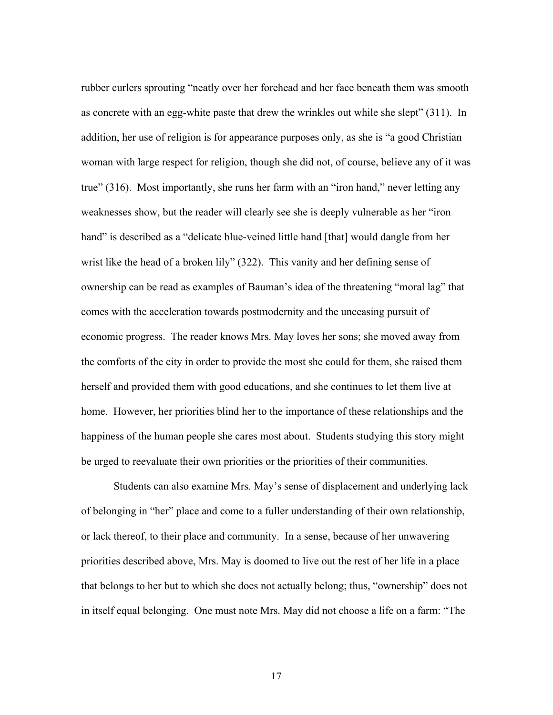rubber curlers sprouting "neatly over her forehead and her face beneath them was smooth as concrete with an egg-white paste that drew the wrinkles out while she slept" (311). In addition, her use of religion is for appearance purposes only, as she is "a good Christian woman with large respect for religion, though she did not, of course, believe any of it was true" (316). Most importantly, she runs her farm with an "iron hand," never letting any weaknesses show, but the reader will clearly see she is deeply vulnerable as her "iron hand" is described as a "delicate blue-veined little hand [that] would dangle from her wrist like the head of a broken lily" (322). This vanity and her defining sense of ownership can be read as examples of Bauman's idea of the threatening "moral lag" that comes with the acceleration towards postmodernity and the unceasing pursuit of economic progress. The reader knows Mrs. May loves her sons; she moved away from the comforts of the city in order to provide the most she could for them, she raised them herself and provided them with good educations, and she continues to let them live at home. However, her priorities blind her to the importance of these relationships and the happiness of the human people she cares most about. Students studying this story might be urged to reevaluate their own priorities or the priorities of their communities.

Students can also examine Mrs. May's sense of displacement and underlying lack of belonging in "her" place and come to a fuller understanding of their own relationship, or lack thereof, to their place and community. In a sense, because of her unwavering priorities described above, Mrs. May is doomed to live out the rest of her life in a place that belongs to her but to which she does not actually belong; thus, "ownership" does not in itself equal belonging. One must note Mrs. May did not choose a life on a farm: "The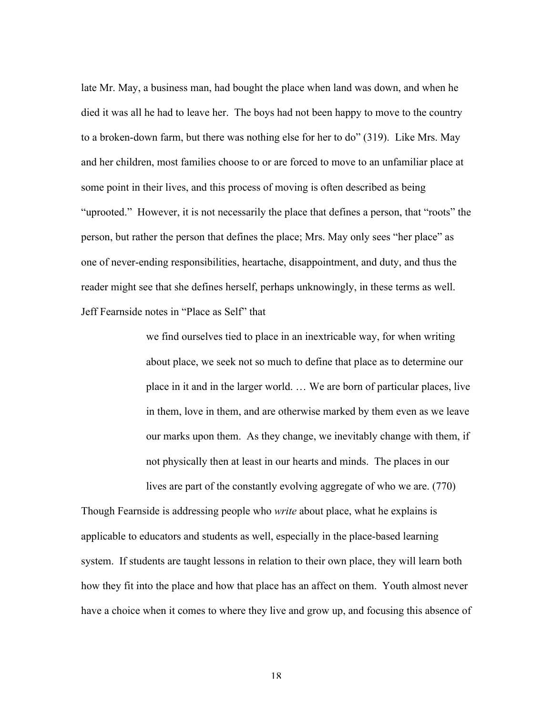late Mr. May, a business man, had bought the place when land was down, and when he died it was all he had to leave her. The boys had not been happy to move to the country to a broken-down farm, but there was nothing else for her to do" (319). Like Mrs. May and her children, most families choose to or are forced to move to an unfamiliar place at some point in their lives, and this process of moving is often described as being "uprooted." However, it is not necessarily the place that defines a person, that "roots" the person, but rather the person that defines the place; Mrs. May only sees "her place" as one of never-ending responsibilities, heartache, disappointment, and duty, and thus the reader might see that she defines herself, perhaps unknowingly, in these terms as well. Jeff Fearnside notes in "Place as Self" that

> we find ourselves tied to place in an inextricable way, for when writing about place, we seek not so much to define that place as to determine our place in it and in the larger world. … We are born of particular places, live in them, love in them, and are otherwise marked by them even as we leave our marks upon them. As they change, we inevitably change with them, if not physically then at least in our hearts and minds. The places in our lives are part of the constantly evolving aggregate of who we are. (770)

Though Fearnside is addressing people who *write* about place, what he explains is applicable to educators and students as well, especially in the place-based learning system. If students are taught lessons in relation to their own place, they will learn both how they fit into the place and how that place has an affect on them. Youth almost never have a choice when it comes to where they live and grow up, and focusing this absence of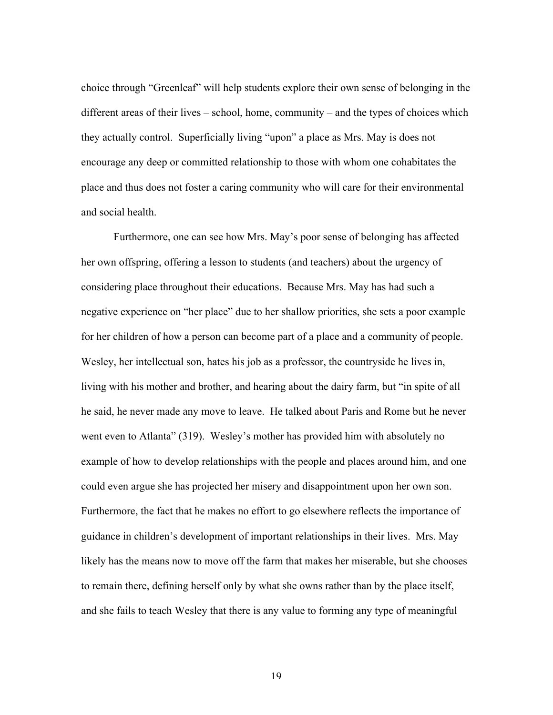choice through "Greenleaf" will help students explore their own sense of belonging in the different areas of their lives – school, home, community – and the types of choices which they actually control. Superficially living "upon" a place as Mrs. May is does not encourage any deep or committed relationship to those with whom one cohabitates the place and thus does not foster a caring community who will care for their environmental and social health.

Furthermore, one can see how Mrs. May's poor sense of belonging has affected her own offspring, offering a lesson to students (and teachers) about the urgency of considering place throughout their educations. Because Mrs. May has had such a negative experience on "her place" due to her shallow priorities, she sets a poor example for her children of how a person can become part of a place and a community of people. Wesley, her intellectual son, hates his job as a professor, the countryside he lives in, living with his mother and brother, and hearing about the dairy farm, but "in spite of all he said, he never made any move to leave. He talked about Paris and Rome but he never went even to Atlanta" (319). Wesley's mother has provided him with absolutely no example of how to develop relationships with the people and places around him, and one could even argue she has projected her misery and disappointment upon her own son. Furthermore, the fact that he makes no effort to go elsewhere reflects the importance of guidance in children's development of important relationships in their lives. Mrs. May likely has the means now to move off the farm that makes her miserable, but she chooses to remain there, defining herself only by what she owns rather than by the place itself, and she fails to teach Wesley that there is any value to forming any type of meaningful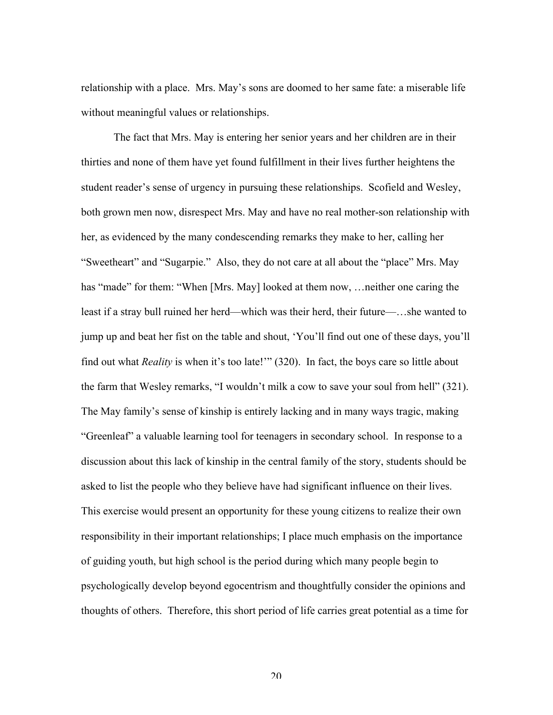relationship with a place. Mrs. May's sons are doomed to her same fate: a miserable life without meaningful values or relationships.

The fact that Mrs. May is entering her senior years and her children are in their thirties and none of them have yet found fulfillment in their lives further heightens the student reader's sense of urgency in pursuing these relationships. Scofield and Wesley, both grown men now, disrespect Mrs. May and have no real mother-son relationship with her, as evidenced by the many condescending remarks they make to her, calling her "Sweetheart" and "Sugarpie." Also, they do not care at all about the "place" Mrs. May has "made" for them: "When [Mrs. May] looked at them now, ... neither one caring the least if a stray bull ruined her herd—which was their herd, their future—…she wanted to jump up and beat her fist on the table and shout, 'You'll find out one of these days, you'll find out what *Reality* is when it's too late!'" (320). In fact, the boys care so little about the farm that Wesley remarks, "I wouldn't milk a cow to save your soul from hell" (321). The May family's sense of kinship is entirely lacking and in many ways tragic, making "Greenleaf" a valuable learning tool for teenagers in secondary school. In response to a discussion about this lack of kinship in the central family of the story, students should be asked to list the people who they believe have had significant influence on their lives. This exercise would present an opportunity for these young citizens to realize their own responsibility in their important relationships; I place much emphasis on the importance of guiding youth, but high school is the period during which many people begin to psychologically develop beyond egocentrism and thoughtfully consider the opinions and thoughts of others. Therefore, this short period of life carries great potential as a time for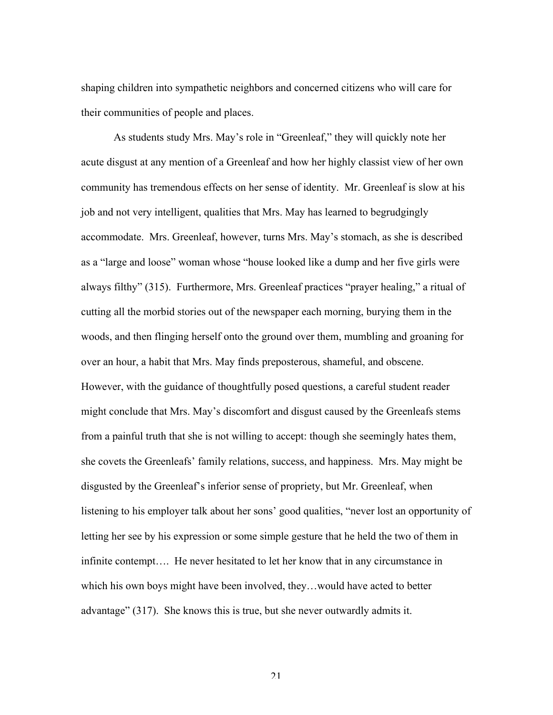shaping children into sympathetic neighbors and concerned citizens who will care for their communities of people and places.

As students study Mrs. May's role in "Greenleaf," they will quickly note her acute disgust at any mention of a Greenleaf and how her highly classist view of her own community has tremendous effects on her sense of identity. Mr. Greenleaf is slow at his job and not very intelligent, qualities that Mrs. May has learned to begrudgingly accommodate. Mrs. Greenleaf, however, turns Mrs. May's stomach, as she is described as a "large and loose" woman whose "house looked like a dump and her five girls were always filthy" (315). Furthermore, Mrs. Greenleaf practices "prayer healing," a ritual of cutting all the morbid stories out of the newspaper each morning, burying them in the woods, and then flinging herself onto the ground over them, mumbling and groaning for over an hour, a habit that Mrs. May finds preposterous, shameful, and obscene. However, with the guidance of thoughtfully posed questions, a careful student reader might conclude that Mrs. May's discomfort and disgust caused by the Greenleafs stems from a painful truth that she is not willing to accept: though she seemingly hates them, she covets the Greenleafs' family relations, success, and happiness. Mrs. May might be disgusted by the Greenleaf's inferior sense of propriety, but Mr. Greenleaf, when listening to his employer talk about her sons' good qualities, "never lost an opportunity of letting her see by his expression or some simple gesture that he held the two of them in infinite contempt…. He never hesitated to let her know that in any circumstance in which his own boys might have been involved, they…would have acted to better advantage" (317). She knows this is true, but she never outwardly admits it.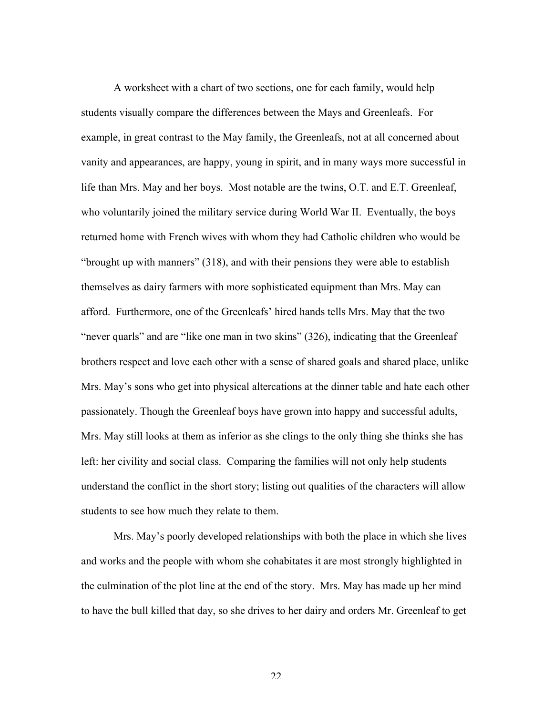A worksheet with a chart of two sections, one for each family, would help students visually compare the differences between the Mays and Greenleafs. For example, in great contrast to the May family, the Greenleafs, not at all concerned about vanity and appearances, are happy, young in spirit, and in many ways more successful in life than Mrs. May and her boys. Most notable are the twins, O.T. and E.T. Greenleaf, who voluntarily joined the military service during World War II. Eventually, the boys returned home with French wives with whom they had Catholic children who would be "brought up with manners" (318), and with their pensions they were able to establish themselves as dairy farmers with more sophisticated equipment than Mrs. May can afford. Furthermore, one of the Greenleafs' hired hands tells Mrs. May that the two "never quarls" and are "like one man in two skins" (326), indicating that the Greenleaf brothers respect and love each other with a sense of shared goals and shared place, unlike Mrs. May's sons who get into physical altercations at the dinner table and hate each other passionately. Though the Greenleaf boys have grown into happy and successful adults, Mrs. May still looks at them as inferior as she clings to the only thing she thinks she has left: her civility and social class. Comparing the families will not only help students understand the conflict in the short story; listing out qualities of the characters will allow students to see how much they relate to them.

Mrs. May's poorly developed relationships with both the place in which she lives and works and the people with whom she cohabitates it are most strongly highlighted in the culmination of the plot line at the end of the story. Mrs. May has made up her mind to have the bull killed that day, so she drives to her dairy and orders Mr. Greenleaf to get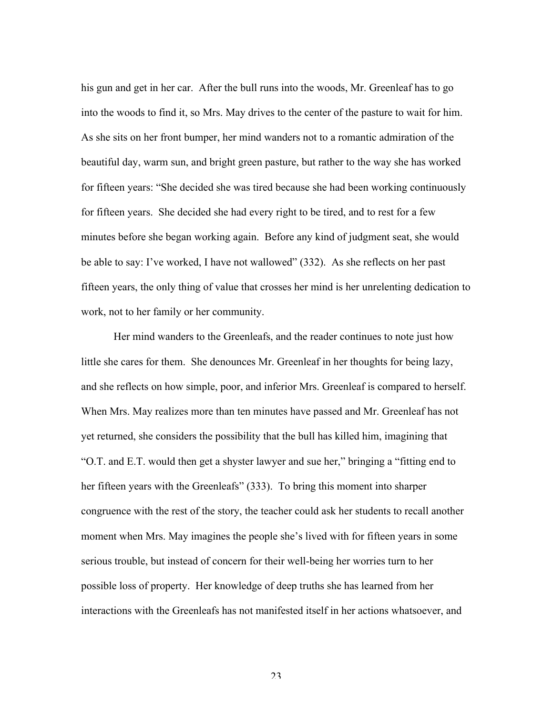his gun and get in her car. After the bull runs into the woods, Mr. Greenleaf has to go into the woods to find it, so Mrs. May drives to the center of the pasture to wait for him. As she sits on her front bumper, her mind wanders not to a romantic admiration of the beautiful day, warm sun, and bright green pasture, but rather to the way she has worked for fifteen years: "She decided she was tired because she had been working continuously for fifteen years. She decided she had every right to be tired, and to rest for a few minutes before she began working again. Before any kind of judgment seat, she would be able to say: I've worked, I have not wallowed" (332). As she reflects on her past fifteen years, the only thing of value that crosses her mind is her unrelenting dedication to work, not to her family or her community.

Her mind wanders to the Greenleafs, and the reader continues to note just how little she cares for them. She denounces Mr. Greenleaf in her thoughts for being lazy, and she reflects on how simple, poor, and inferior Mrs. Greenleaf is compared to herself. When Mrs. May realizes more than ten minutes have passed and Mr. Greenleaf has not yet returned, she considers the possibility that the bull has killed him, imagining that "O.T. and E.T. would then get a shyster lawyer and sue her," bringing a "fitting end to her fifteen years with the Greenleafs" (333). To bring this moment into sharper congruence with the rest of the story, the teacher could ask her students to recall another moment when Mrs. May imagines the people she's lived with for fifteen years in some serious trouble, but instead of concern for their well-being her worries turn to her possible loss of property. Her knowledge of deep truths she has learned from her interactions with the Greenleafs has not manifested itself in her actions whatsoever, and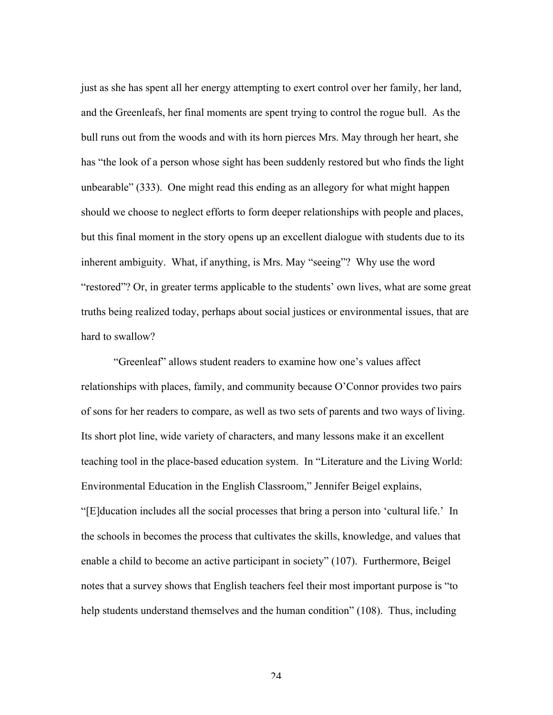just as she has spent all her energy attempting to exert control over her family, her land, and the Greenleafs, her final moments are spent trying to control the rogue bull. As the bull runs out from the woods and with its horn pierces Mrs. May through her heart, she has "the look of a person whose sight has been suddenly restored but who finds the light unbearable" (333). One might read this ending as an allegory for what might happen should we choose to neglect efforts to form deeper relationships with people and places, but this final moment in the story opens up an excellent dialogue with students due to its inherent ambiguity. What, if anything, is Mrs. May "seeing"? Why use the word "restored"? Or, in greater terms applicable to the students' own lives, what are some great truths being realized today, perhaps about social justices or environmental issues, that are hard to swallow?

"Greenleaf" allows student readers to examine how one's values affect relationships with places, family, and community because O'Connor provides two pairs of sons for her readers to compare, as well as two sets of parents and two ways of living. Its short plot line, wide variety of characters, and many lessons make it an excellent teaching tool in the place-based education system. In "Literature and the Living World: Environmental Education in the English Classroom," Jennifer Beigel explains, "[E]ducation includes all the social processes that bring a person into 'cultural life.' In the schools in becomes the process that cultivates the skills, knowledge, and values that enable a child to become an active participant in society" (107). Furthermore, Beigel notes that a survey shows that English teachers feel their most important purpose is "to help students understand themselves and the human condition" (108). Thus, including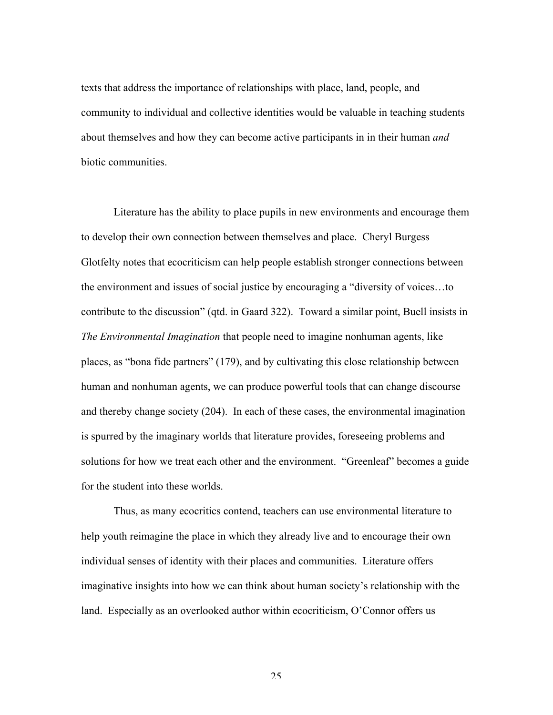texts that address the importance of relationships with place, land, people, and community to individual and collective identities would be valuable in teaching students about themselves and how they can become active participants in in their human *and* biotic communities.

Literature has the ability to place pupils in new environments and encourage them to develop their own connection between themselves and place. Cheryl Burgess Glotfelty notes that ecocriticism can help people establish stronger connections between the environment and issues of social justice by encouraging a "diversity of voices…to contribute to the discussion" (qtd. in Gaard 322). Toward a similar point, Buell insists in *The Environmental Imagination* that people need to imagine nonhuman agents, like places, as "bona fide partners" (179), and by cultivating this close relationship between human and nonhuman agents, we can produce powerful tools that can change discourse and thereby change society (204). In each of these cases, the environmental imagination is spurred by the imaginary worlds that literature provides, foreseeing problems and solutions for how we treat each other and the environment. "Greenleaf" becomes a guide for the student into these worlds.

Thus, as many ecocritics contend, teachers can use environmental literature to help youth reimagine the place in which they already live and to encourage their own individual senses of identity with their places and communities. Literature offers imaginative insights into how we can think about human society's relationship with the land. Especially as an overlooked author within ecocriticism, O'Connor offers us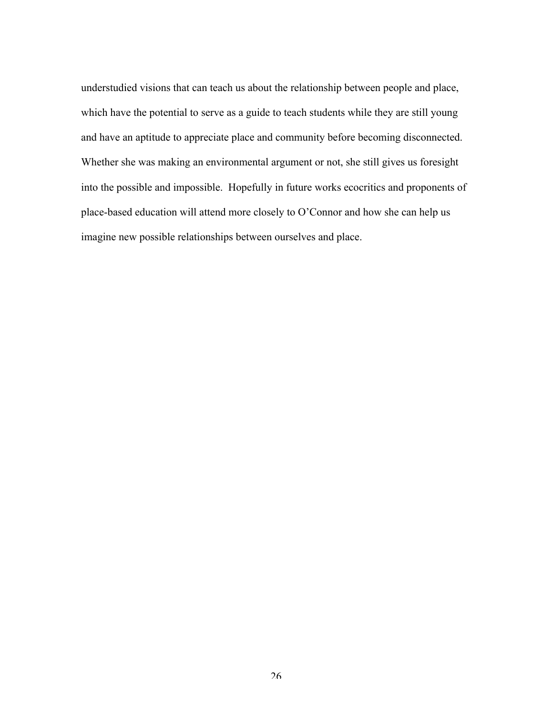understudied visions that can teach us about the relationship between people and place, which have the potential to serve as a guide to teach students while they are still young and have an aptitude to appreciate place and community before becoming disconnected. Whether she was making an environmental argument or not, she still gives us foresight into the possible and impossible. Hopefully in future works ecocritics and proponents of place-based education will attend more closely to O'Connor and how she can help us imagine new possible relationships between ourselves and place.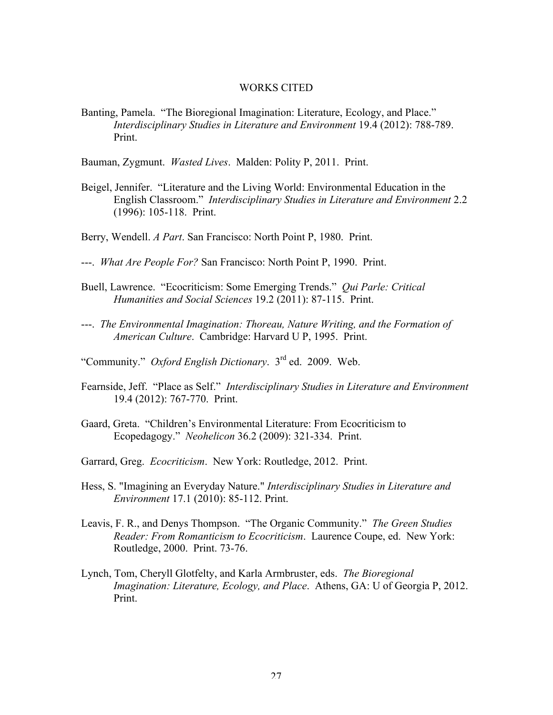#### WORKS CITED

Banting, Pamela. "The Bioregional Imagination: Literature, Ecology, and Place." *Interdisciplinary Studies in Literature and Environment* 19.4 (2012): 788-789. Print.

Bauman, Zygmunt. *Wasted Lives*. Malden: Polity P, 2011. Print.

- Beigel, Jennifer. "Literature and the Living World: Environmental Education in the English Classroom." *Interdisciplinary Studies in Literature and Environment* 2.2 (1996): 105-118. Print.
- Berry, Wendell. *A Part*. San Francisco: North Point P, 1980. Print.
- ---. *What Are People For?* San Francisco: North Point P, 1990. Print.
- Buell, Lawrence. "Ecocriticism: Some Emerging Trends." *Qui Parle: Critical Humanities and Social Sciences* 19.2 (2011): 87-115. Print.
- ---. *The Environmental Imagination: Thoreau, Nature Writing, and the Formation of American Culture*. Cambridge: Harvard U P, 1995. Print.
- "Community." *Oxford English Dictionary*. 3rd ed. 2009. Web.
- Fearnside, Jeff. "Place as Self." *Interdisciplinary Studies in Literature and Environment* 19.4 (2012): 767-770. Print.
- Gaard, Greta. "Children's Environmental Literature: From Ecocriticism to Ecopedagogy." *Neohelicon* 36.2 (2009): 321-334. Print.
- Garrard, Greg. *Ecocriticism*. New York: Routledge, 2012. Print.
- Hess, S. "Imagining an Everyday Nature." *Interdisciplinary Studies in Literature and Environment* 17.1 (2010): 85-112. Print.
- Leavis, F. R., and Denys Thompson. "The Organic Community." *The Green Studies Reader: From Romanticism to Ecocriticism*. Laurence Coupe, ed. New York: Routledge, 2000. Print. 73-76.
- Lynch, Tom, Cheryll Glotfelty, and Karla Armbruster, eds. *The Bioregional Imagination: Literature, Ecology, and Place*. Athens, GA: U of Georgia P, 2012. Print.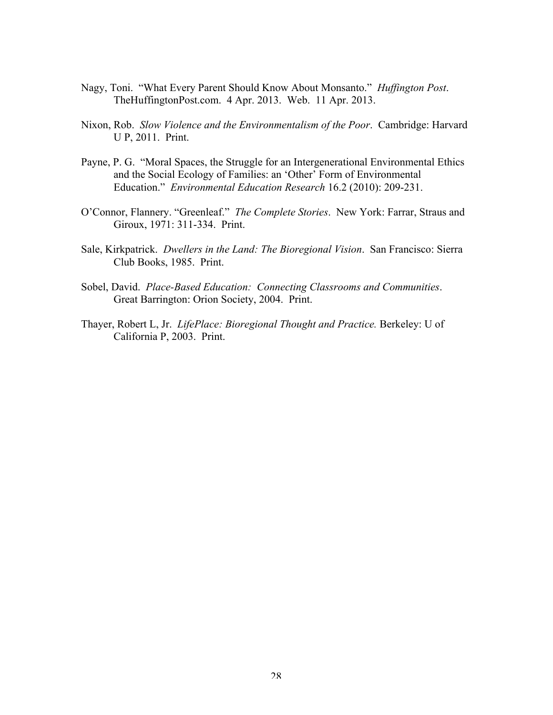- Nagy, Toni. "What Every Parent Should Know About Monsanto." *Huffington Post*. TheHuffingtonPost.com. 4 Apr. 2013. Web. 11 Apr. 2013.
- Nixon, Rob. *Slow Violence and the Environmentalism of the Poor*. Cambridge: Harvard U P, 2011. Print.
- Payne, P. G. "Moral Spaces, the Struggle for an Intergenerational Environmental Ethics and the Social Ecology of Families: an 'Other' Form of Environmental Education." *Environmental Education Research* 16.2 (2010): 209-231.
- O'Connor, Flannery. "Greenleaf." *The Complete Stories*. New York: Farrar, Straus and Giroux, 1971: 311-334. Print.
- Sale, Kirkpatrick. *Dwellers in the Land: The Bioregional Vision*. San Francisco: Sierra Club Books, 1985. Print.
- Sobel, David. *Place-Based Education: Connecting Classrooms and Communities*. Great Barrington: Orion Society, 2004. Print.
- Thayer, Robert L, Jr. *LifePlace: Bioregional Thought and Practice.* Berkeley: U of California P, 2003. Print.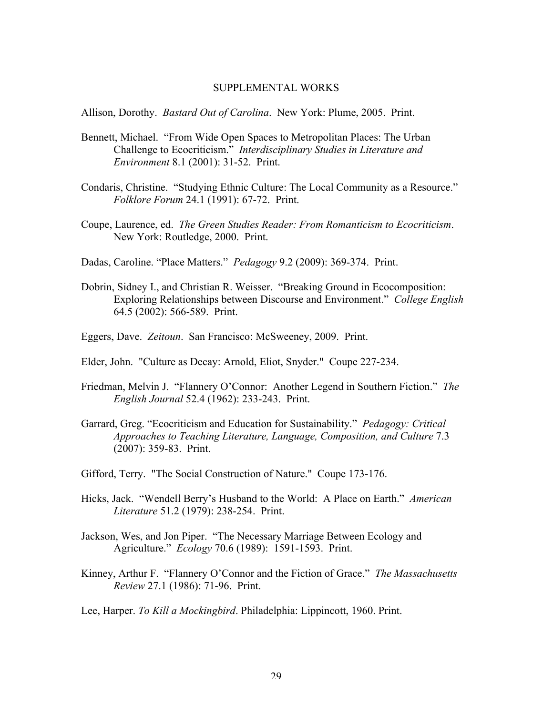#### SUPPLEMENTAL WORKS

Allison, Dorothy. *Bastard Out of Carolina*. New York: Plume, 2005. Print.

- Bennett, Michael. "From Wide Open Spaces to Metropolitan Places: The Urban Challenge to Ecocriticism." *Interdisciplinary Studies in Literature and Environment* 8.1 (2001): 31-52. Print.
- Condaris, Christine. "Studying Ethnic Culture: The Local Community as a Resource." *Folklore Forum* 24.1 (1991): 67-72. Print.
- Coupe, Laurence, ed. *The Green Studies Reader: From Romanticism to Ecocriticism*. New York: Routledge, 2000. Print.
- Dadas, Caroline. "Place Matters." *Pedagogy* 9.2 (2009): 369-374. Print.
- Dobrin, Sidney I., and Christian R. Weisser. "Breaking Ground in Ecocomposition: Exploring Relationships between Discourse and Environment." *College English* 64.5 (2002): 566-589. Print.
- Eggers, Dave. *Zeitoun*. San Francisco: McSweeney, 2009. Print.
- Elder, John. "Culture as Decay: Arnold, Eliot, Snyder." Coupe 227-234.
- Friedman, Melvin J. "Flannery O'Connor: Another Legend in Southern Fiction." *The English Journal* 52.4 (1962): 233-243. Print.
- Garrard, Greg. "Ecocriticism and Education for Sustainability." *Pedagogy: Critical Approaches to Teaching Literature, Language, Composition, and Culture* 7.3 (2007): 359-83. Print.
- Gifford, Terry. "The Social Construction of Nature." Coupe 173-176.
- Hicks, Jack. "Wendell Berry's Husband to the World: A Place on Earth." *American Literature* 51.2 (1979): 238-254. Print.
- Jackson, Wes, and Jon Piper. "The Necessary Marriage Between Ecology and Agriculture." *Ecology* 70.6 (1989): 1591-1593. Print.
- Kinney, Arthur F. "Flannery O'Connor and the Fiction of Grace." *The Massachusetts Review* 27.1 (1986): 71-96. Print.

Lee, Harper. *To Kill a Mockingbird*. Philadelphia: Lippincott, 1960. Print.